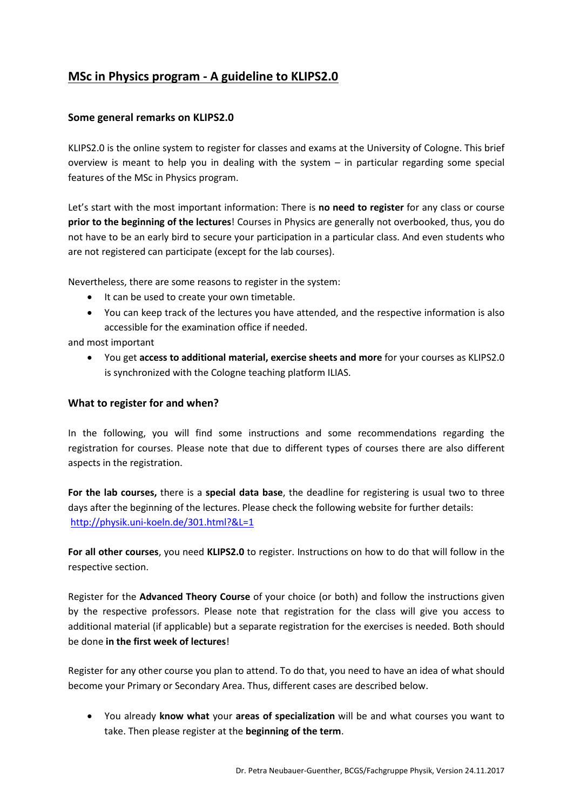## **MSc in Physics program - A guideline to KLIPS2.0**

## **Some general remarks on KLIPS2.0**

KLIPS2.0 is the online system to register for classes and exams at the University of Cologne. This brief overview is meant to help you in dealing with the system – in particular regarding some special features of the MSc in Physics program.

Let's start with the most important information: There is **no need to register** for any class or course **prior to the beginning of the lectures**! Courses in Physics are generally not overbooked, thus, you do not have to be an early bird to secure your participation in a particular class. And even students who are not registered can participate (except for the lab courses).

Nevertheless, there are some reasons to register in the system:

- It can be used to create your own timetable.
- You can keep track of the lectures you have attended, and the respective information is also accessible for the examination office if needed.

and most important

• You get **access to additional material, exercise sheets and more** for your courses as KLIPS2.0 is synchronized with the Cologne teaching platform ILIAS.

## **What to register for and when?**

In the following, you will find some instructions and some recommendations regarding the registration for courses. Please note that due to different types of courses there are also different aspects in the registration.

**For the lab courses,** there is a **special data base**, the deadline for registering is usual two to three days after the beginning of the lectures. Please check the following website for further details: <http://physik.uni-koeln.de/301.html?&L=1>

**For all other courses**, you need **KLIPS2.0** to register. Instructions on how to do that will follow in the respective section.

Register for the **Advanced Theory Course** of your choice (or both) and follow the instructions given by the respective professors. Please note that registration for the class will give you access to additional material (if applicable) but a separate registration for the exercises is needed. Both should be done **in the first week of lectures**!

Register for any other course you plan to attend. To do that, you need to have an idea of what should become your Primary or Secondary Area. Thus, different cases are described below.

• You already **know what** your **areas of specialization** will be and what courses you want to take. Then please register at the **beginning of the term**.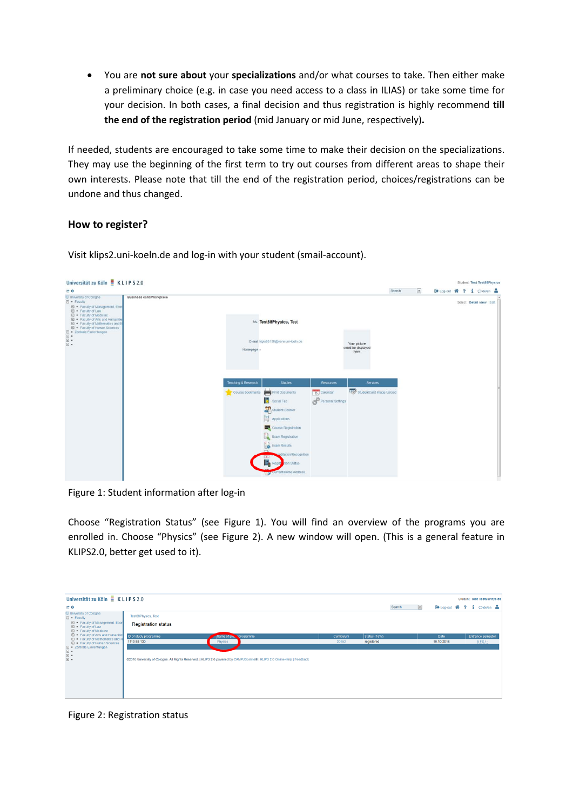• You are **not sure about** your **specializations** and/or what courses to take. Then either make a preliminary choice (e.g. in case you need access to a class in ILIAS) or take some time for your decision. In both cases, a final decision and thus registration is highly recommend **till the end of the registration period** (mid January or mid June, respectively)**.**

If needed, students are encouraged to take some time to make their decision on the specializations. They may use the beginning of the first term to try out courses from different areas to shape their own interests. Please note that till the end of the registration period, choices/registrations can be undone and thus changed.

## **How to register?**

Visit klips2.uni-koeln.de and log-in with your student (smail-account).

| Universität zu Köln E KLIPS 2.0                                                                                                                                                                                                                                                                                                                                     |                         |                     |                                                                                                                                                                                                                                                 |                                  |                                            |                 |                          |  | Student: Test Test88Physics |  |
|---------------------------------------------------------------------------------------------------------------------------------------------------------------------------------------------------------------------------------------------------------------------------------------------------------------------------------------------------------------------|-------------------------|---------------------|-------------------------------------------------------------------------------------------------------------------------------------------------------------------------------------------------------------------------------------------------|----------------------------------|--------------------------------------------|-----------------|--------------------------|--|-----------------------------|--|
| <b>ET G</b>                                                                                                                                                                                                                                                                                                                                                         |                         |                     |                                                                                                                                                                                                                                                 |                                  | Search                                     | $\vert x \vert$ | [+Log-out 聋 ? i pde/en 品 |  |                             |  |
| C University of Cologne<br>□ · Faculty<br>E . Faculty of Management, Econ<br>El . Faculty of Law<br>E · Faculty of Medicine<br>E · Faculty of Arts and Humanities<br>El . Faculty of Mathematics and N<br>E · Faculty of Human Sciences<br>$\begin{tabular}{ll} \hline \boxleftarrow & zentrale Enrichtungen \\ \hline \end{tabular}$<br>$\boxdot$ .<br>$\boxdot$ . | Business card/Workplace | Homepage -          | Ms. Test88Physics, Test<br>E-mail kipis88130@verw.uni-loeln.de                                                                                                                                                                                  |                                  | Your picture<br>could be displayed<br>here |                 |                          |  | Select Detail view Edit     |  |
|                                                                                                                                                                                                                                                                                                                                                                     |                         | Teaching & Research | <b>Studies</b>                                                                                                                                                                                                                                  | <b>Resources</b>                 | <b>Services</b>                            |                 |                          |  |                             |  |
|                                                                                                                                                                                                                                                                                                                                                                     |                         | Course bookmarks    | <b>Print Documents</b><br>Б<br>Social Fee<br>Student Dossier<br>ß<br>Applications<br>Course Registration<br><b>Exam Registration</b><br>Exam Results<br>reditation/Recognition<br>$-4 -$<br>B.<br>tion Status<br>Regist<br>Current/Home Address | 25 Calendar<br>Personal Settings | studentCard Image Upload                   |                 |                          |  |                             |  |

Figure 1: Student information after log-in

Choose "Registration Status" (see Figure 1). You will find an overview of the programs you are enrolled in. Choose "Physics" (see Figure 2). A new window will open. (This is a general feature in KLIPS2.0, better get used to it).

| Universität zu Köln EKLIPS 2.0<br><b>Student: Test Test88Physics</b>                             |                            |                                                                                                                           |            |              |                          |                            |  |  |  |  |
|--------------------------------------------------------------------------------------------------|----------------------------|---------------------------------------------------------------------------------------------------------------------------|------------|--------------|--------------------------|----------------------------|--|--|--|--|
| <b>CT O</b>                                                                                      |                            |                                                                                                                           |            | Search       | $\overline{\phantom{a}}$ | [→ Log-out 省 ? i ○ de/en ▲ |  |  |  |  |
| University of Cologne<br>$\Box$ • Faculty                                                        | <b>Test88Physics, Test</b> |                                                                                                                           |            |              |                          |                            |  |  |  |  |
| El . Faculty of Management, Econ<br><b>□ • Faculty of Law</b><br><b>El . Faculty of Medicine</b> | <b>Registration status</b> |                                                                                                                           |            |              |                          |                            |  |  |  |  |
| Faculty of Arts and Humanitie<br><b>El .</b> Faculty of Mathematics and N                        | ID of study programme      | Name of su<br>programme                                                                                                   | Curriculum | Status (16W) | Date                     | <b>Entrance semester</b>   |  |  |  |  |
| <b>El . Faculty of Human Sciences</b>                                                            | 1110 88 130                | Physics                                                                                                                   | 20152      | registered   | 10.10.2016               | $5$ FS $/$ -               |  |  |  |  |
| □ ■ Zentrale Einrichtungen                                                                       |                            |                                                                                                                           |            |              |                          |                            |  |  |  |  |
| $\begin{array}{ c } \hline \cdots \end{array}$<br>$\Xi^-$<br>$\Box$                              |                            | @2016 University of Cologne, All Rights Reserved,   KLIPS 2.0 powered by CAMPUSonline®   KLIPS 2.0 Online-Help   Feedback |            |              |                          |                            |  |  |  |  |

Figure 2: Registration status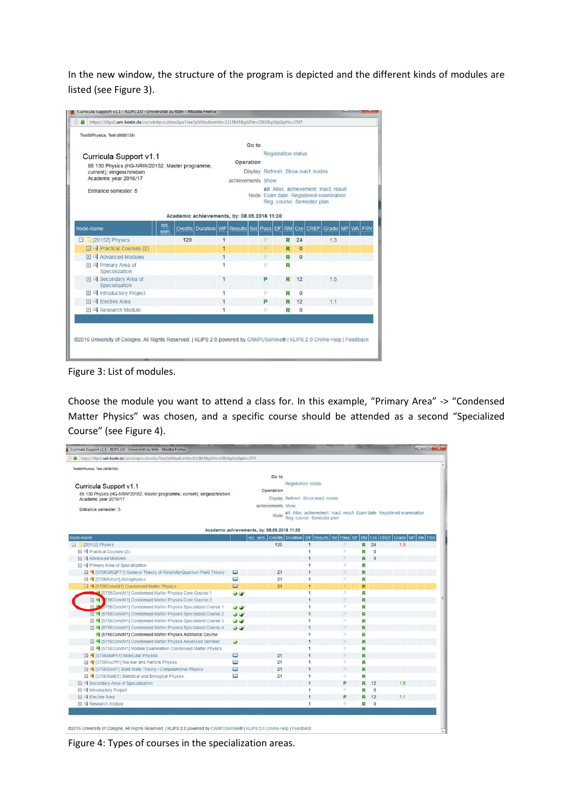In the new window, the structure of the program is depicted and the different kinds of modules are listed (see Figure 3).

| Go to                             |   |                   |                                                                                           |                            |                                                                                                                                          |  |  |  |
|-----------------------------------|---|-------------------|-------------------------------------------------------------------------------------------|----------------------------|------------------------------------------------------------------------------------------------------------------------------------------|--|--|--|
|                                   |   |                   |                                                                                           |                            |                                                                                                                                          |  |  |  |
| <b>Operation</b>                  |   |                   |                                                                                           |                            |                                                                                                                                          |  |  |  |
| Display Refresh Show inact, nodes |   |                   |                                                                                           |                            |                                                                                                                                          |  |  |  |
|                                   |   |                   |                                                                                           |                            |                                                                                                                                          |  |  |  |
|                                   |   |                   |                                                                                           |                            |                                                                                                                                          |  |  |  |
|                                   |   |                   |                                                                                           |                            |                                                                                                                                          |  |  |  |
|                                   |   |                   |                                                                                           |                            |                                                                                                                                          |  |  |  |
|                                   |   |                   |                                                                                           |                            |                                                                                                                                          |  |  |  |
|                                   |   |                   |                                                                                           |                            |                                                                                                                                          |  |  |  |
| $\overline{1}$                    | P | R                 | 24                                                                                        | 1.3                        |                                                                                                                                          |  |  |  |
| 1                                 | D | R                 | $\Omega$                                                                                  |                            |                                                                                                                                          |  |  |  |
| $\overline{1}$                    | P | R                 | $\Omega$                                                                                  |                            |                                                                                                                                          |  |  |  |
| 1                                 | P | R                 |                                                                                           |                            |                                                                                                                                          |  |  |  |
| $\overline{1}$                    | P | R                 | 12                                                                                        | 1.5                        |                                                                                                                                          |  |  |  |
| $\overline{1}$                    | P | R                 | $\bf{0}$                                                                                  |                            |                                                                                                                                          |  |  |  |
| $\mathbf{1}$                      | P | R                 | 12                                                                                        | 1.1                        |                                                                                                                                          |  |  |  |
|                                   | P | R                 | $\mathbf{0}$                                                                              |                            |                                                                                                                                          |  |  |  |
|                                   |   | achievements Show | Academic achievements, by: 08.09.2016 11:30<br>Credits Duration WF Results Sel Pass DF RM | <b>Registration status</b> | all Alloc achievement Inact result<br>Node Exam date Registered examination<br>Reg. course Semester plan<br>Cre   CREF   Grade   MP   WA |  |  |  |

Figure 3: List of modules.

Choose the module you want to attend a class for. In this example, "Primary Area" -> "Condensed Matter Physics" was chosen, and a specific course should be attended as a second "Specialized Course" (see Figure 4).

| Curricula Support v1.1 - KLIPS 2.0 - Universität zu Köln - Mozilla Firefox                        |                     |                                             |                                                                                                           |              |   |                |     | $\begin{array}{c c c c c c} \hline \multicolumn{3}{c }{\mathbf{C}} & \multicolumn{3}{c }{\mathbf{X}} \end{array}$ |
|---------------------------------------------------------------------------------------------------|---------------------|---------------------------------------------|-----------------------------------------------------------------------------------------------------------|--------------|---|----------------|-----|-------------------------------------------------------------------------------------------------------------------|
| https://klips2.uni-koeln.de/co/wbstpcs.showSpoTree?pStStudiumNr=1115645&pSJNr=1592&pStpStpNr=3747 |                     |                                             |                                                                                                           |              |   |                |     |                                                                                                                   |
| Test88Physics, Test (0088130)<br>Curricula Support v1.1                                           |                     | Go to<br>Operation                          | <b>Registration status</b>                                                                                |              |   |                |     |                                                                                                                   |
| 88 130 Physics (HG-NRW/20152, Master programme, current); eingeschrieben<br>Academic year 2016/17 |                     |                                             | Display Refresh Show inact. nodes                                                                         |              |   |                |     |                                                                                                                   |
| Entrance semester: 5                                                                              |                     | achievements Show<br>Node                   | all Alloc achievement Inact result Exam date Registered examination<br>Reg. course Semester plan          |              |   |                |     |                                                                                                                   |
|                                                                                                   |                     | Academic achievements, by: 08.09.2016 11:30 |                                                                                                           |              |   |                |     |                                                                                                                   |
| Node-Name                                                                                         |                     |                                             | rec. sem.   Credits   Duration   WF   Results   Sel   Pass   DF   RM   Cre   CREF   Grade   MP   WA   FRV |              |   |                |     |                                                                                                                   |
| 2 [20152] Physics                                                                                 |                     | 120                                         | $\mathbf{1}$                                                                                              | P            |   | R 24           | 1.3 |                                                                                                                   |
| 日 = Practical Courses (2)                                                                         |                     |                                             | 1                                                                                                         | P            | R | $\Omega$       |     |                                                                                                                   |
| <b>El </b> Advanced Modules                                                                       |                     |                                             | 1                                                                                                         | P.           | R | $\mathbf{0}$   |     |                                                                                                                   |
| 日 <sup>9</sup> Primary Area of Specialization                                                     |                     |                                             | 1                                                                                                         | p.           | R |                |     |                                                                                                                   |
| 日 4 [5756GRQFT1] General Theory of Relativity/Quantum Field Theory                                | 凹                   | 21                                          | $\ddot{\phantom{1}}$                                                                                      | D.           | R |                |     |                                                                                                                   |
| 田 4 [5756Astro1] Astrophysics                                                                     | 13.1                | 21                                          | 1                                                                                                         | P.           | R |                |     |                                                                                                                   |
| 日 4 [5756CondM1] Condensed Matter Physics                                                         | 63                  | 21                                          | $\mathbf{1}$                                                                                              | $\mathbb{R}$ | R |                |     |                                                                                                                   |
| 1 [5756CondM1] Condensed Matter Physics Core Course 1                                             | $\mathbf{v}$        |                                             | 1                                                                                                         | P.           | R |                |     |                                                                                                                   |
| □ ■ Y56CondM1] Condensed Matter Physics Core Course 2                                             |                     |                                             | 1                                                                                                         | P            | R |                |     |                                                                                                                   |
| F<br>5756CondM1] Condensed Matter Physics Specialized Course 1                                    | $\bullet$ $\bullet$ |                                             | 1.                                                                                                        | P.           | R |                |     |                                                                                                                   |
| 日 = [5756CondM1] Condensed Matter Physics Specialized Course 2                                    | $\mathbf{u}$        |                                             | 1                                                                                                         | p.           | R |                |     |                                                                                                                   |
| <b>El ■ [5756CondM1] Condensed Matter Physics Specialized Course 3</b>                            | JV                  |                                             | 1                                                                                                         | P.           | R |                |     |                                                                                                                   |
| <b>El ■ [5756CondM1] Condensed Matter Physics Specialized Course 4</b>                            | $\mathbf{w}$        |                                             | 1                                                                                                         | P.           | R |                |     |                                                                                                                   |
| [5756CondM1] Condensed Matter Physics Additional Course                                           |                     |                                             | 1                                                                                                         | P.           | R |                |     |                                                                                                                   |
| <b>El ■ [5756CondM1] Condensed Matter Physics Advanced Seminar</b>                                | $\ddot{\mathbf{v}}$ |                                             | 1                                                                                                         | p.           | R |                |     |                                                                                                                   |
| <b>□ ■ [5756CondM1] Module Examination Condensed Matter Physics</b>                               |                     |                                             | 1                                                                                                         | P            | R |                |     |                                                                                                                   |
| 日 4 [5756MolPh1] Molecular Physics                                                                | 回                   | 21                                          | 1                                                                                                         | D.           | R |                |     |                                                                                                                   |
| 日 4 [5756NucPt1] Nuclear and Particle Physics                                                     | 国                   | 21                                          | 1                                                                                                         | P.           | R |                |     |                                                                                                                   |
| 日 4 [5756Solid1] Solid State Theory / Computational Physics                                       | m                   | 21                                          | 1                                                                                                         | p.           | R |                |     |                                                                                                                   |
| 日 4 [5756StatB1] Statistical and Biological Physics                                               | 凹                   | 21                                          | 1                                                                                                         | P            | R |                |     |                                                                                                                   |
| El Condary Area of Specialization                                                                 |                     |                                             | 1                                                                                                         | P            | R | 12             | 1.5 |                                                                                                                   |
| 日 Introductory Project                                                                            |                     |                                             | 1                                                                                                         | P            | R | $\overline{0}$ |     |                                                                                                                   |
| 日 - Elective Area                                                                                 |                     |                                             | ï                                                                                                         | P            | R | 12             | 1.1 |                                                                                                                   |
| 日   Research Module                                                                               |                     |                                             | 1                                                                                                         | P.           | R | $\mathbf{O}$   |     |                                                                                                                   |

Figure 4: Types of courses in the specialization areas.